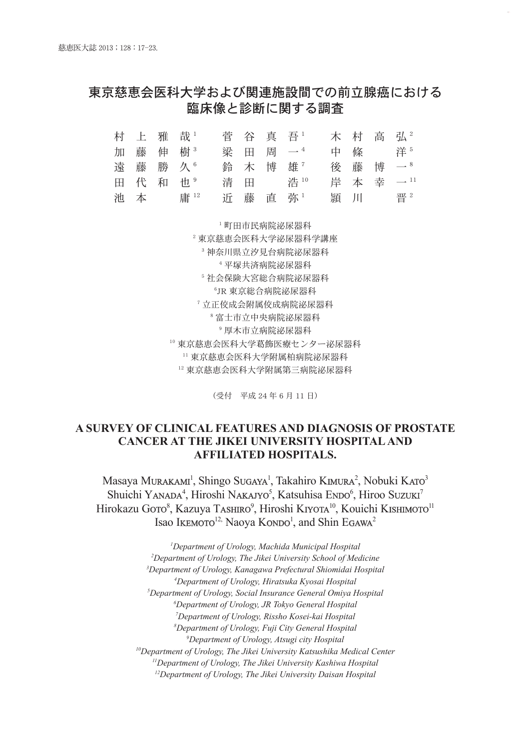# 東京慈恵会医科大学および関連施設間での前立腺癌における 臨床像と診断に関する調査

|  | 村 上 雅 哉1 |  | 菅 谷 真 吾1  |  | 木 村 高 弘2  |
|--|----------|--|-----------|--|-----------|
|  | 加藤伸樹3    |  | 梁 田 周 一 4 |  | 中 條 洋5    |
|  | 遠 藤 勝 久6 |  | 鈴 木 博 雄"  |  | 後 藤 博 一8  |
|  | 田代和也。    |  | 清 田 浩10   |  | 岸 本 幸 一11 |
|  | 池 本 庸12  |  | 近 藤 直 弥1  |  | 頴 川 晋2    |

<sup>1</sup> 町田市民病院泌尿器科

 東京慈恵会医科大学泌尿器科学講座 神奈川県立汐見台病院泌尿器科 平塚共済病院泌尿器科 社会保険大宮総合病院泌尿器科 JR 東京総合病院泌尿器科 立正佼成会附属佼成病院泌尿器科 富士市立中央病院泌尿器科 厚木市立病院泌尿器科 東京慈恵会医科大学葛飾医療センター泌尿器科 東京慈恵会医科大学附属柏病院泌尿器科 東京慈恵会医科大学附属第三病院泌尿器科

(受付 平成 24 年 6 月 11 日)

## **A SURVEY OF CLINICAL FEATURES AND DIAGNOSIS OF PROSTATE CANCER AT THE JIKEI UNIVERSITY HOSPITAL AND AFFILIATED HOSPITALS.**

Masaya Murakam<sup>i</sup>, Shingo Sugaya<sup>1</sup>, Takahiro Kimura<sup>2</sup>, Nobuki Karo<sup>3</sup> Shuichi YANADA<sup>4</sup>, Hiroshi NAKAJYO<sup>5</sup>, Katsuhisa ENDO<sup>6</sup>, Hiroo Suzuki<sup>7</sup> Hirokazu Goto<sup>8</sup>, Kazuya Tashiro<sup>9</sup>, Hiroshi Kiyota<sup>10</sup>, Kouichi Kishimoto<sup>11</sup> Isao I**kemoto**<sup>12,</sup> Naoya Kondo<sup>1</sup>, and Shin Egawa<sup>2</sup>

> *Department of Urology, Machida Municipal Hospital Department of Urology, The Jikei University School of Medicine Department of Urology, Kanagawa Prefectural Shiomidai Hospital Department of Urology, Hiratsuka Kyosai Hospital Department of Urology, Social Insurance General Omiya Hospital Department of Urology, JR Tokyo General Hospital Department of Urology, Rissho Kosei-kai Hospital Department of Urology, Fuji City General Hospital Department of Urology, Atsugi city Hospital 10Department of Urology, The Jikei University Katsushika Medical Center 11Department of Urology, The Jikei University Kashiwa Hospital 12Department of Urology, The Jikei University Daisan Hospital*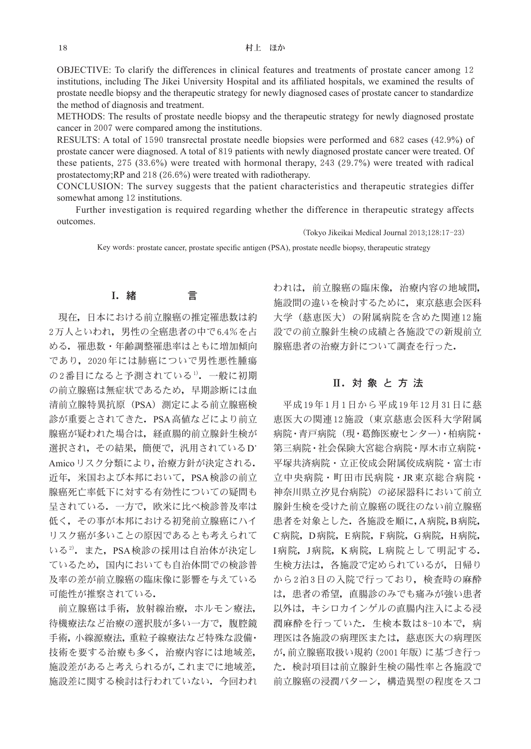OBJECTIVE: To clarify the differences in clinical features and treatments of prostate cancer among 12 institutions, including The Jikei University Hospital and its affiliated hospitals, we examined the results of prostate needle biopsy and the therapeutic strategy for newly diagnosed cases of prostate cancer to standardize the method of diagnosis and treatment.

METHODS: The results of prostate needle biopsy and the therapeutic strategy for newly diagnosed prostate cancer in 2007 were compared among the institutions.

RESULTS: A total of 1590 transrectal prostate needle biopsies were performed and 682 cases (42.9%) of prostate cancer were diagnosed. A total of 819 patients with newly diagnosed prostate cancer were treated. Of these patients, 275 (33.6%) were treated with hormonal therapy, 243 (29.7%) were treated with radical prostatectomy;RP and 218 (26.6%) were treated with radiotherapy.

CONCLUSION: The survey suggests that the patient characteristics and therapeutic strategies differ somewhat among 12 institutions.

Further investigation is required regarding whether the difference in therapeutic strategy affects outcomes.

(Tokyo Jikeikai Medical Journal 2013;128:17-23)

Key words: prostate cancer, prostate specific antigen (PSA), prostate needle biopsy, therapeutic strategy

## Ⅰ.緒 言

現在,日本における前立腺癌の推定罹患数は約 2万人といわれ,男性の全癌患者の中で6.4%を占 める.罹患数・年齢調整罹患率はともに増加傾向 であり,2020年には肺癌についで男性悪性腫瘍 の2番目になると予測されている1). 一般に初期 の前立腺癌は無症状であるため,早期診断には血 清前立腺特異抗原(PSA)測定による前立腺癌検 診が重要とされてきた.PSA高値などにより前立 腺癌が疑われた場合は,経直腸的前立腺針生検が 選択され, その結果, 簡便で, 汎用されているD' Amicoリスク分類により,治療方針が決定される. 近年,米国および本邦において,PSA検診の前立 腺癌死亡率低下に対する有効性についての疑問も 呈されている.一方で,欧米に比べ検診普及率は 低く,その事が本邦における初発前立腺癌にハイ リスク癌が多いことの原因であるとも考えられて いる<sup>2)</sup>. また, PSA検診の採用は自治体が決定し ているため,国内においても自治体間での検診普 及率の差が前立腺癌の臨床像に影響を与えている 可能性が推察されている.

前立腺癌は手術,放射線治療,ホルモン療法, 待機療法など治療の選択肢が多い一方で,腹腔鏡 手術,小線源療法,重粒子線療法など特殊な設備· 技術を要する治療も多く,治療内容には地域差, 施設差があると考えられるが,これまでに地域差, 施設差に関する検討は行われていない.今回われ

われは,前立腺癌の臨床像,治療内容の地域間, 施設間の違いを検討するために,東京慈恵会医科 大学(慈恵医大)の附属病院を含めた関連12施 設での前立腺針生検の成績と各施設での新規前立 腺癌患者の治療方針について調査を行った.

## Ⅱ.対象と方法

平成19年1月1日から平成19年12月31日に慈 恵医大の関連12施設(東京慈恵会医科大学附属 病院・青戸病院(現・葛飾医療センター)・柏病院・ 第三病院・社会保険大宮総合病院・厚木市立病院・ 平塚共済病院・立正佼成会附属佼成病院・富士市 立中央病院・町田市民病院・JR東京総合病院・ 神奈川県立汐見台病院)の泌尿器科において前立 腺針生検を受けた前立腺癌の既往のない前立腺癌 患者を対象とした. 各施設を順に,A病院,B病院, C病院,D病院,E病院,F病院,G病院,H病院, I病院,J病院,K病院,L病院として明記する. 生検方法は,各施設で定められているが,日帰り から2泊3日の入院で行っており,検査時の麻酔 は,患者の希望,直腸診のみでも痛みが強い患者 以外は,キシロカインゲルの直腸内注入による浸 潤麻酔を行っていた。生検本数は8-10本で、病 理医は各施設の病理医または,慈恵医大の病理医 が,前立腺癌取扱い規約(2001年版)に基づき行っ た.検討項目は前立腺針生検の陽性率と各施設で 前立腺癌の浸潤パターン,構造異型の程度をスコ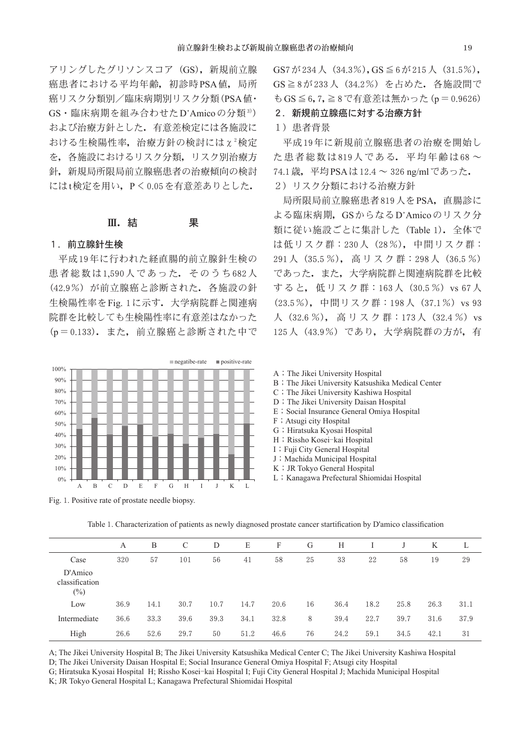アリングしたグリソンスコア (GS), 新規前立腺 癌患者における平均年齢,初診時PSA値,局所 癌リスク分類別/臨床病期別リスク分類(PSA値・ GS·臨床病期を組み合わせたD'Amicoの分類<sup>3)</sup>) および治療方針とした.有意差検定には各施設に おける生検陽性率,治療方針の検討には $\chi^2$ 検定 を,各施設におけるリスク分類,リスク別治療方 針,新規局所限局前立腺癌患者の治療傾向の検討 にはt検定を用い,P<0.05を有意差ありとした.

#### Ⅲ. 結 果

#### 1.前立腺針生検

平成19年に行われた経直腸的前立腺針生検の 患者総数は1,590人であった.そのうち682人 (42.9%)が前立腺癌と診断された.各施設の針 生検陽性率をFig. 1に示す. 大学病院群と関連病 院群を比較しても生検陽性率に有意差はなかった (p=0.133).また,前立腺癌と診断された中で



Fig. 1. Positive rate of prostate needle biopsy.

GS7が234人(34.3%),GS≦6が215人(31.5%), GS≧8が233人(34.2%)を占めた.各施設間で もGS≦6,7,≧8で有意差は無かった(p=0.9626)

2. 新規前立腺癌に対する治療方針

1)患者背景

平成19年に新規前立腺癌患者の治療を開始し た患者総数は819人である.平均年齢は68 ~ 74.1歳,平均PSAは12.4 ~ 326 ng/mlであった. 2)リスク分類における治療方針

局所限局前立腺癌患者819人をPSA,直腸診に よる臨床病期,GSからなるD'Amicoのリスク分 類に従い施設ごとに集計した (Table 1). 全体で は低リスク群:230人(28%),中間リスク群: 291人(35.5 %), 高 リ ス ク 群:298人(36.5 %) であった.また,大学病院群と関連病院群を比較 すると,低リスク群:163人 (30.5%) vs 67人 (23.5%), 中間リスク群: 198人 (37.1%) vs 93 人 (32.6 %), 高リスク群: 173人 (32.4 %) vs 125人(43.9%)であり,大学病院群の方が,有

- A; The Jikei University Hospital
- B; The Jikei University Katsushika Medical Center
- C; The Jikei University Kashiwa Hospital
- D; The Jikei University Daisan Hospital
- E; Social Insurance General Omiya Hospital
- F; Atsugi city Hospital
- G; Hiratsuka Kyosai Hospital
- H; Rissho Kosei-kai Hospital
- I; Fuji City General Hospital
- J; Machida Municipal Hospital
- K; JR Tokyo General Hospital
- L; Kanagawa Prefectural Shiomidai Hospital

|                                     | A    | B    | C    | D    | E    | F    | G  | Н    |      |      | K    |      |
|-------------------------------------|------|------|------|------|------|------|----|------|------|------|------|------|
| Case                                | 320  | 57   | 101  | 56   | 41   | 58   | 25 | 33   | 22   | 58   | 19   | 29   |
| D'Amico<br>classification<br>$(\%)$ |      |      |      |      |      |      |    |      |      |      |      |      |
| Low                                 | 36.9 | 14.1 | 30.7 | 10.7 | 14.7 | 20.6 | 16 | 36.4 | 18.2 | 25.8 | 26.3 | 31.1 |
| Intermediate                        | 36.6 | 33.3 | 39.6 | 39.3 | 34.1 | 32.8 | 8  | 39.4 | 22.7 | 39.7 | 31.6 | 37.9 |
| High                                | 26.6 | 52.6 | 29.7 | 50   | 51.2 | 46.6 | 76 | 24.2 | 59.1 | 34.5 | 42.1 | 31   |

Table 1. Characterization of patients as newly diagnosed prostate cancer startification by D'amico classification

A; The Jikei University Hospital B; The Jikei University Katsushika Medical Center C; The Jikei University Kashiwa Hospital

D; The Jikei University Daisan Hospital E; Social Insurance General Omiya Hospital F; Atsugi city Hospital

G; Hiratsuka Kyosai Hospital H; Rissho Kosei-kai Hospital I; Fuji City General Hospital J; Machida Municipal Hospital

K; JR Tokyo General Hospital L; Kanagawa Prefectural Shiomidai Hospital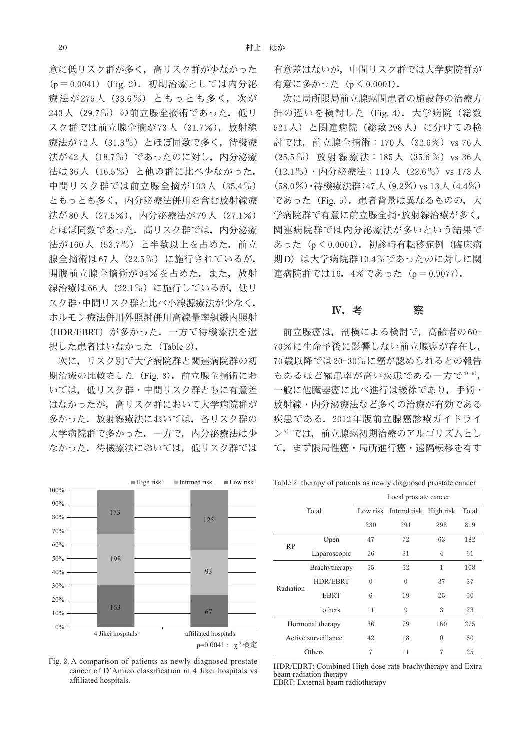意に低リスク群が多く,高リスク群が少なかった (p=0.0041)(Fig. 2).初期治療としては内分泌 療法が275人 (33.6%) ともっとも多く, 次が 243人 (29.7%) の前立腺全摘術であった. 低リ スク群では前立腺全摘が73人 (31.7%), 放射線 療法が72人(31.3%)とほぼ同数で多く,待機療 法が42人 (18.7%) であったのに対し、内分泌療 法は36人(16.5%)と他の群に比べ少なかった. 中間リスク群では前立腺全摘が103人(35.4%) ともっとも多く,内分泌療法併用を含む放射線療 法が80人 (27.5%),内分泌療法が79人 (27.1%) とほぼ同数であった。高リスク群では、内分泌療 法が160人 (53.7%) と半数以上を占めた. 前立 腺全摘術は67人(22.5%)に施行されているが, 開腹前立腺全摘術が94%を占めた。また、放射 線治療は66人 (22.1%)に施行しているが、低リ スク群・中間リスク群と比べ小線源療法が少なく, ホルモン療法併用外照射併用高線量率組織内照射 (HDR/EBRT) が多かった. 一方で待機療法を選 択した患者はいなかった (Table 2).

次に,リスク別で大学病院群と関連病院群の初 期治療の比較をした (Fig. 3). 前立腺全摘術にお いては,低リスク群・中間リスク群ともに有意差 はなかったが,高リスク群において大学病院群が 多かった。放射線療法においては、各リスク群の 大学病院群で多かった.一方で,内分泌療法は少 なかった.待機療法においては,低リスク群では



Fig. 2. A comparison of patients as newly diagnosed prostate cancer of D'Amico classification in 4 Jikei hospitals vs affiliated hospitals.

有意差はないが,中間リスク群では大学病院群が 有意に多かった (p < 0.0001).

次に局所限局前立腺癌間患者の施設毎の治療方 針の違いを検討した (Fig. 4). 大学病院 (総数 521人)と関連病院(総数298人)に分けての検 討では、前立腺全摘術: 170人 (32.6%) vs 76人 (25.5%)放射線療法:185人(35.6%)vs 36人 (12.1%)·内分泌療法: 119人 (22.6%) vs 173人 (58.0%)・待機療法群:47人(9.2%)vs 13人(4.4%) であった (Fig. 5). 患者背景は異なるものの,大 学病院群で有意に前立腺全摘・放射線治療が多く, 関連病院群では内分泌療法が多いという結果で あった(p<0.0001).初診時有転移症例(臨床病 期D)は大学病院群10.4%であったのに対しに関 連病院群では16.4%であった (p=0.9077).

### **N. 考 察**

前立腺癌は,剖検による検討で,高齢者の60- 70%に生命予後に影響しない前立腺癌が存在し, 70歳以降では20-30%に癌が認められるとの報告 もあるほど罹患率が高い疾患である一方で4)-6), 一般に他臓器癌に比べ進行は緩徐であり,手術・ 放射線・内分泌療法など多くの治療が有効である 疾患である.2012年版前立腺癌診療ガイドライ ン<sup>7</sup>では、前立腺癌初期治療のアルゴリズムとし て,まず限局性癌・局所進行癌・遠隔転移を有す

Table 2. therapy of patients as newly diagnosed prostate cancer

|           |                     | Local prostate cancer          |          |          |       |  |  |  |  |
|-----------|---------------------|--------------------------------|----------|----------|-------|--|--|--|--|
|           | Total               | Low risk Intrmd risk High risk |          |          | Total |  |  |  |  |
|           |                     | 230                            | 291      | 298      | 819   |  |  |  |  |
|           | Open                | 47                             | 72       | 63       | 182   |  |  |  |  |
| <b>RP</b> | Laparoscopic        | 26                             | 31       | 4        | 61    |  |  |  |  |
|           | Brachytherapy       | 55                             | 52       | 1        | 108   |  |  |  |  |
| Radiation | <b>HDR/EBRT</b>     | $\Omega$                       | $\theta$ | 37       | 37    |  |  |  |  |
|           | <b>EBRT</b>         | 6                              | 19       | 25       | 50    |  |  |  |  |
|           | others              | 9<br>11                        |          | 3        | 23    |  |  |  |  |
|           | Hormonal therapy    | 36                             | 79       | 160      | 275   |  |  |  |  |
|           | Active surveillance | 42                             | 18       | $\theta$ | 60    |  |  |  |  |
|           | Others              | 7                              | 11       | 7        | 25    |  |  |  |  |

HDR/EBRT: Combined High dose rate brachytherapy and Extra beam radiation therapy EBRT: External beam radiotherapy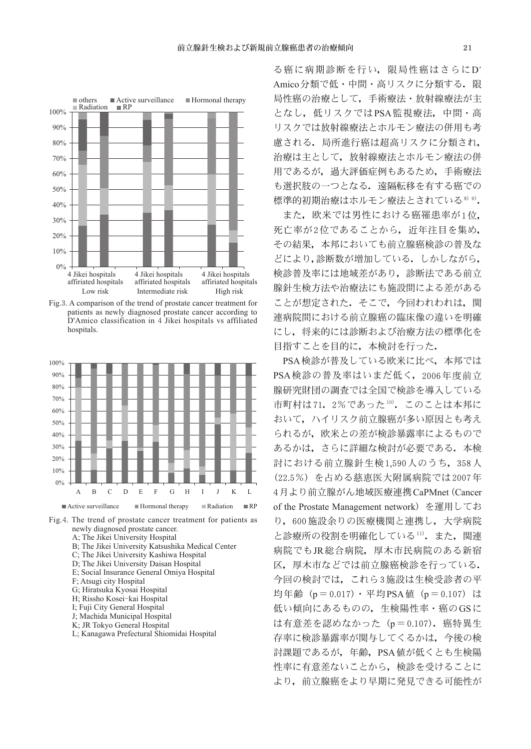

Fig.3. A comparison of the trend of prostate cancer treatment for patients as newly diagnosed prostate cancer according to D'Amico classification in 4 Jikei hospitals vs affiliated hospitals.



Fig.4. The trend of prostate cancer treatment for patients as newly diagnosed prostate cancer. A; The Jikei University Hospital B; The Jikei University Katsushika Medical Center C; The Jikei University Kashiwa Hospital D; The Jikei University Daisan Hospital E; Social Insurance General Omiya Hospital

- F; Atsugi city Hospital
- G; Hiratsuka Kyosai Hospital
- H; Rissho Kosei-kai Hospital
- I; Fuji City General Hospital
- J; Machida Municipal Hospital
- K; JR Tokyo General Hospital
- L; Kanagawa Prefectural Shiomidai Hospital

る癌に病期診断を行い,限局性癌はさらにD' Amico分類で低·中間·高リスクに分類する。限 局性癌の治療として,手術療法・放射線療法が主 となし,低リスクではPSA監視療法,中間・高 リスクでは放射線療法とホルモン療法の併用も考 慮される.局所進行癌は超高リスクに分類され, 治療は主として,放射線療法とホルモン療法の併 用であるが,過大評価症例もあるため,手術療法 も選択肢の一つとなる.遠隔転移を有する癌での 標準的初期治療はホルモン療法とされている<sup>8)9</sup>.

また,欧米では男性における癌罹患率が1位, 死亡率が2位であることから、近年注目を集め, その結果,本邦においても前立腺癌検診の普及な どにより,診断数が増加している.しかしながら, 検診普及率には地域差があり,診断法である前立 腺針生検方法や治療法にも施設間による差がある ことが想定された。そこで、今回われわれは、関 連病院間における前立腺癌の臨床像の違いを明確 にし,将来的には診断および治療方法の標準化を 目指すことを目的に,本検討を行った.

PSA検診が普及している欧米に比べ,本邦では PSA検診の普及率はいまだ低く, 2006年度前立 腺研究財団の調査では全国で検診を導入している 市町村は71.2%であった10). このことは本邦に おいて,ハイリスク前立腺癌が多い原因とも考え られるが,欧米との差が検診暴露率によるもので あるかは,さらに詳細な検討が必要である.本検 討における前立腺針生検1,590人のうち,358人 (22.5%)を占める慈恵医大附属病院では2007年 4月より前立腺がん地域医療連携CaPMnet(Cancer of the Prostate Management network)を運用してお り,600施設余りの医療機関と連携し,大学病院 と診療所の役割を明確化している11). また、関連 病院でもJR総合病院,厚木市民病院のある新宿 区,厚木市などでは前立腺癌検診を行っている. 今回の検討では,これら3施設は生検受診者の平 均年齢 (p=0.017) · 平均PSA値 (p=0.107) は 低い傾向にあるものの,生検陽性率・癌のGSに は有意差を認めなかった (p = 0.107). 癌特異生 存率に検診暴露率が関与してくるかは,今後の検 討課題であるが,年齢,PSA値が低くとも生検陽 性率に有意差ないことから,検診を受けることに より,前立腺癌をより早期に発見できる可能性が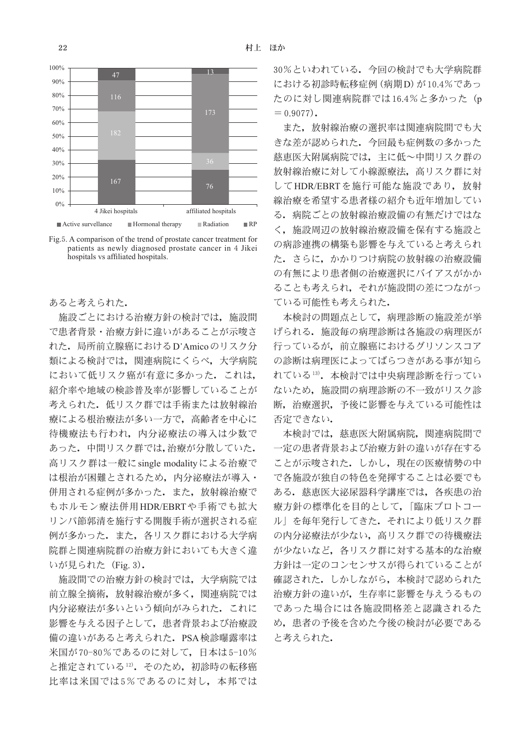

Fig.5. A comparison of the trend of prostate cancer treatment for patients as newly diagnosed prostate cancer in 4 Jikei hospitals vs affiliated hospitals.

### あると考えられた.

施設ごとにおける治療方針の検討では、施設間 で患者背景・治療方針に違いがあることが示唆さ れた.局所前立腺癌におけるD'Amicoのリスク分 類による検討では,関連病院にくらべ,大学病院 において低リスク癌が有意に多かった。これは, 紹介率や地域の検診普及率が影響していることが 考えられた.低リスク群では手術または放射線治 療による根治療法が多い一方で,高齢者を中心に 待機療法も行われ,内分泌療法の導入は少数で あった.中間リスク群では,治療が分散していた. 高リスク群は一般にsingle modalityによる治療で は根治が困難とされるため,内分泌療法が導入・ 併用される症例が多かった. また,放射線治療で もホルモン療法併用HDR/EBRTや手術でも拡大 リンパ節郭清を施行する開腹手術が選択される症 例が多かった.また,各リスク群における大学病 院群と関連病院群の治療方針においても大きく違 いが見られた(Fig. 3).

施設間での治療方針の検討では,大学病院では 前立腺全摘術。放射線治療が多く。関連病院では 内分泌療法が多いという傾向がみられた.これに 影響を与える因子として,患者背景および治療設 備の違いがあると考えられた.PSA検診曝露率は 米国が70-80%であるのに対して,日本は5-10% と推定されている12). そのため、初診時の転移癌 比率は米国では5%であるのに対し、本邦では

30%といわれている.今回の検討でも大学病院群 における初診時転移症例(病期D)が10.4%であっ たのに対し関連病院群では16.4%と多かった(p  $= 0.9077$ .

また,放射線治療の選択率は関連病院間でも大 きな差が認められた.今回最も症例数の多かった 慈恵医大附属病院では,主に低~中間リスク群の 放射線治療に対して小線源療法,高リスク群に対 してHDR/EBRTを施行可能な施設であり、放射 線治療を希望する患者様の紹介も近年増加してい る.病院ごとの放射線治療設備の有無だけではな く,施設周辺の放射線治療設備を保有する施設と の病診連携の構築も影響を与えていると考えられ た.さらに,かかりつけ病院の放射線の治療設備 の有無により患者側の治療選択にバイアスがかか ることも考えられ,それが施設間の差につながっ ている可能性も考えられた.

本検討の問題点として,病理診断の施設差が挙 げられる.施設毎の病理診断は各施設の病理医が 行っているが,前立腺癌におけるグリソンスコア の診断は病理医によってばらつきがある事が知ら れている13). 本検討では中央病理診断を行ってい ないため,施設間の病理診断の不一致がリスク診 断,治療選択,予後に影響を与えている可能性は 否定できない.

本検討では,慈恵医大附属病院,関連病院間で 一定の患者背景および治療方針の違いが存在する ことが示唆された。しかし、現在の医療情勢の中 で各施設が独自の特色を発揮することは必要でも ある。慈恵医大泌尿器科学講座では、各疾患の治 療方針の標準化を目的として,「臨床プロトコー ル」を毎年発行してきた.それにより低リスク群 の内分泌療法が少ない,高リスク群での待機療法 が少ないなど,各リスク群に対する基本的な治療 方針は一定のコンセンサスが得られていることが 確認された.しかしながら,本検討で認められた 治療方針の違いが,生存率に影響を与えうるもの であった場合には各施設間格差と認識されるた め,患者の予後を含めた今後の検討が必要である と考えられた.